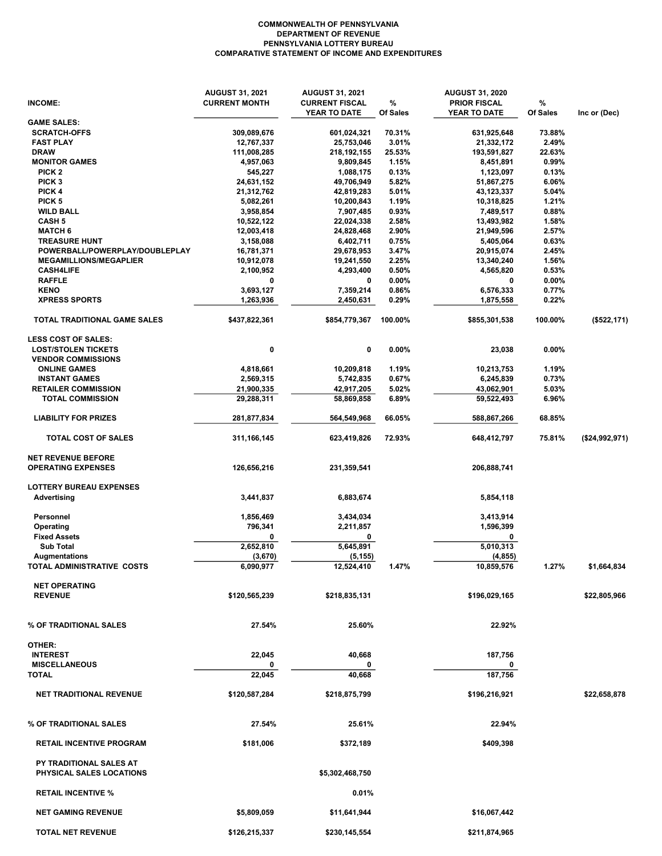## COMMONWEALTH OF PENNSYLVANIA DEPARTMENT OF REVENUE PENNSYLVANIA LOTTERY BUREAU COMPARATIVE STATEMENT OF INCOME AND EXPENDITURES

|                                                            | <b>AUGUST 31, 2021</b> | <b>AUGUST 31, 2021</b>                |               | <b>AUGUST 31, 2020</b>              |               |                |
|------------------------------------------------------------|------------------------|---------------------------------------|---------------|-------------------------------------|---------------|----------------|
| <b>INCOME:</b>                                             | <b>CURRENT MONTH</b>   | <b>CURRENT FISCAL</b><br>YEAR TO DATE | %<br>Of Sales | <b>PRIOR FISCAL</b><br>YEAR TO DATE | %<br>Of Sales | Inc or (Dec)   |
| <b>GAME SALES:</b>                                         |                        |                                       |               |                                     |               |                |
| <b>SCRATCH-OFFS</b>                                        | 309,089,676            | 601,024,321                           | 70.31%        | 631,925,648                         | 73.88%        |                |
| <b>FAST PLAY</b>                                           | 12,767,337             | 25,753,046                            | 3.01%         | 21,332,172                          | 2.49%         |                |
| <b>DRAW</b>                                                | 111,008,285            | 218, 192, 155                         | 25.53%        | 193,591,827                         | 22.63%        |                |
| <b>MONITOR GAMES</b>                                       | 4,957,063              | 9,809,845                             | 1.15%         | 8,451,891                           | 0.99%         |                |
| PICK <sub>2</sub>                                          | 545,227                | 1,088,175                             | 0.13%         | 1,123,097                           | 0.13%         |                |
| PICK <sub>3</sub>                                          | 24,631,152             | 49,706,949                            | 5.82%         | 51,867,275                          | 6.06%         |                |
| PICK 4                                                     | 21,312,762             | 42,819,283                            | 5.01%         | 43,123,337                          | 5.04%         |                |
| PICK <sub>5</sub>                                          | 5,082,261              | 10,200,843                            | 1.19%         | 10,318,825                          | 1.21%         |                |
| <b>WILD BALL</b>                                           | 3,958,854              | 7,907,485                             | 0.93%         | 7,489,517                           | 0.88%         |                |
| <b>CASH 5</b>                                              | 10,522,122             | 22,024,338                            | 2.58%         | 13,493,982                          | 1.58%         |                |
| <b>MATCH 6</b>                                             | 12,003,418             | 24,828,468                            | 2.90%         | 21,949,596                          | 2.57%         |                |
| <b>TREASURE HUNT</b>                                       | 3,158,088              | 6,402,711                             | 0.75%         | 5,405,064                           | 0.63%         |                |
| POWERBALL/POWERPLAY/DOUBLEPLAY                             | 16,781,371             | 29,678,953                            | 3.47%         | 20,915,074                          | 2.45%         |                |
| <b>MEGAMILLIONS/MEGAPLIER</b>                              | 10,912,078             | 19,241,550                            | 2.25%         | 13,340,240                          | 1.56%         |                |
| <b>CASH4LIFE</b>                                           | 2,100,952              | 4,293,400                             | 0.50%         | 4,565,820                           | 0.53%         |                |
| <b>RAFFLE</b>                                              | 0                      | 0                                     | 0.00%         | 0                                   | 0.00%         |                |
| <b>KENO</b>                                                | 3,693,127              | 7,359,214                             | 0.86%         | 6,576,333                           | 0.77%         |                |
| <b>XPRESS SPORTS</b>                                       | 1,263,936              | 2,450,631                             | 0.29%         | 1,875,558                           | 0.22%         |                |
| TOTAL TRADITIONAL GAME SALES                               | \$437,822,361          | \$854,779,367                         | 100.00%       | \$855,301,538                       | 100.00%       | (\$522, 171)   |
| <b>LESS COST OF SALES:</b>                                 |                        |                                       |               |                                     |               |                |
| <b>LOST/STOLEN TICKETS</b>                                 | 0                      | 0                                     | 0.00%         | 23,038                              | 0.00%         |                |
| <b>VENDOR COMMISSIONS</b>                                  |                        |                                       |               |                                     |               |                |
| <b>ONLINE GAMES</b>                                        | 4,818,661              | 10,209,818                            | 1.19%         | 10,213,753                          | 1.19%         |                |
| <b>INSTANT GAMES</b>                                       | 2,569,315              | 5,742,835                             | 0.67%         | 6,245,839                           | 0.73%         |                |
| <b>RETAILER COMMISSION</b>                                 | 21,900,335             | 42,917,205                            | 5.02%         | 43,062,901                          | 5.03%         |                |
| <b>TOTAL COMMISSION</b>                                    | 29,288,311             | 58,869,858                            | 6.89%         | 59,522,493                          | 6.96%         |                |
| <b>LIABILITY FOR PRIZES</b>                                | 281,877,834            | 564,549,968                           | 66.05%        | 588,867,266                         | 68.85%        |                |
| <b>TOTAL COST OF SALES</b>                                 | 311,166,145            | 623,419,826                           | 72.93%        | 648,412,797                         | 75.81%        | (\$24,992,971) |
| <b>NET REVENUE BEFORE</b>                                  |                        |                                       |               |                                     |               |                |
| <b>OPERATING EXPENSES</b>                                  | 126,656,216            | 231,359,541                           |               | 206,888,741                         |               |                |
| <b>LOTTERY BUREAU EXPENSES</b>                             |                        |                                       |               |                                     |               |                |
| Advertising                                                | 3,441,837              | 6,883,674                             |               | 5,854,118                           |               |                |
| Personnel                                                  | 1,856,469              | 3,434,034                             |               | 3,413,914                           |               |                |
| Operating                                                  | 796,341                | 2,211,857                             |               | 1,596,399                           |               |                |
| <b>Fixed Assets</b>                                        | 0                      | 0                                     |               | 0                                   |               |                |
| <b>Sub Total</b>                                           | 2,652,810              | 5,645,891                             |               | 5,010,313                           |               |                |
| <b>Augmentations</b>                                       | (3,670)                | (5,155)                               |               | (4, 855)                            |               |                |
| TOTAL ADMINISTRATIVE COSTS                                 | 6,090,977              | 12,524,410                            | 1.47%         | 10,859,576                          | 1.27%         | \$1,664,834    |
| <b>NET OPERATING</b>                                       |                        |                                       |               |                                     |               |                |
| <b>REVENUE</b>                                             | \$120,565,239          | \$218,835,131                         |               | \$196,029,165                       |               | \$22,805,966   |
|                                                            |                        |                                       |               |                                     |               |                |
| % OF TRADITIONAL SALES                                     | 27.54%                 | 25.60%                                |               | 22.92%                              |               |                |
|                                                            |                        |                                       |               |                                     |               |                |
| OTHER:                                                     |                        |                                       |               |                                     |               |                |
| <b>INTEREST</b>                                            | 22,045                 | 40,668                                |               | 187,756                             |               |                |
| <b>MISCELLANEOUS</b><br><b>TOTAL</b>                       | 0                      | 0                                     |               | 0                                   |               |                |
|                                                            | 22,045                 | 40,668                                |               | 187,756                             |               |                |
| <b>NET TRADITIONAL REVENUE</b>                             | \$120,587,284          | \$218,875,799                         |               | \$196,216,921                       |               | \$22,658,878   |
| % OF TRADITIONAL SALES                                     | 27.54%                 | 25.61%                                |               | 22.94%                              |               |                |
| <b>RETAIL INCENTIVE PROGRAM</b>                            | \$181,006              | \$372,189                             |               | \$409,398                           |               |                |
|                                                            |                        |                                       |               |                                     |               |                |
| PY TRADITIONAL SALES AT<br><b>PHYSICAL SALES LOCATIONS</b> |                        | \$5,302,468,750                       |               |                                     |               |                |
| <b>RETAIL INCENTIVE %</b>                                  |                        | 0.01%                                 |               |                                     |               |                |
| <b>NET GAMING REVENUE</b>                                  | \$5,809,059            | \$11,641,944                          |               | \$16,067,442                        |               |                |
| TOTAL NET REVENUE                                          | \$126,215,337          | \$230,145,554                         |               | \$211,874,965                       |               |                |